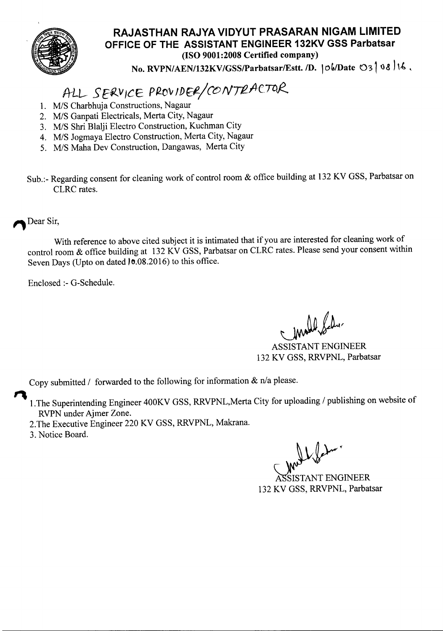

## **RAJASTHAN RAJYA VIDYUT PRASARAN NIGAM LIMITED OFFICE OF THE ASSISTANT ENGINEER 132KV GSS Parbatsar** (ISO 9001:2008 Certified company)

No. RVPN/AEN/132KV/GSS/Parbatsar/Estt. /D.  $\vert \circ \phi / \text{Date} \circ \circ \cdot \vert \circ \phi$  /16,

## *ALL--- SEf2.Y ic* E *<sup>P</sup> Rtf'v If)*Ef-/*coNTRfie* TCif?..

- *1. MIS* Charbhuja Constructions, Nagaur
- *2. MIS* Ganpati Electricals, Merta City, Nagaur
- *3. MIS* Shri Blalji Electro Construction, Kuchman City
- *4. MIS* Jogmaya Electro Construction, Merta City, Nagaur
- *5. MIS* Maha Dev Construction, Dangawas, Merta City
- Sub.:- Regarding consent for cleaning work of control room & office building at 132 KV GSS, Parbatsar on CLRC rates.

Dear Sir,

With reference to above cited subject it is intimated that if you are interested for cleaning work of control room & office building at 132 KV GSS, Parbatsar on CLRC rates. Please send your consent within Seven Days (Upto on dated 10.08.2016) to this office.

Enclosed :- G-Schedule.

mall la

ASSISTANT ENGINEER 132 KV GSS, RRVPNL, Parbatsar

Copy submitted *I* forwarded to the following for information & n/a please.

- $\mathbf{R}$ I.The Superintending Engineer 400KV GSS, RRVPNL,Merta City for uploading *I* publishing on website of RVPN under Ajmer Zone.
	- 2.The Executive Engineer 220 KV GSS, RRVPNL, Makrana.
	- 3. Notice Board.

132 KV GSS, RRVPNL, ParbatsarISTANT ENGINEER